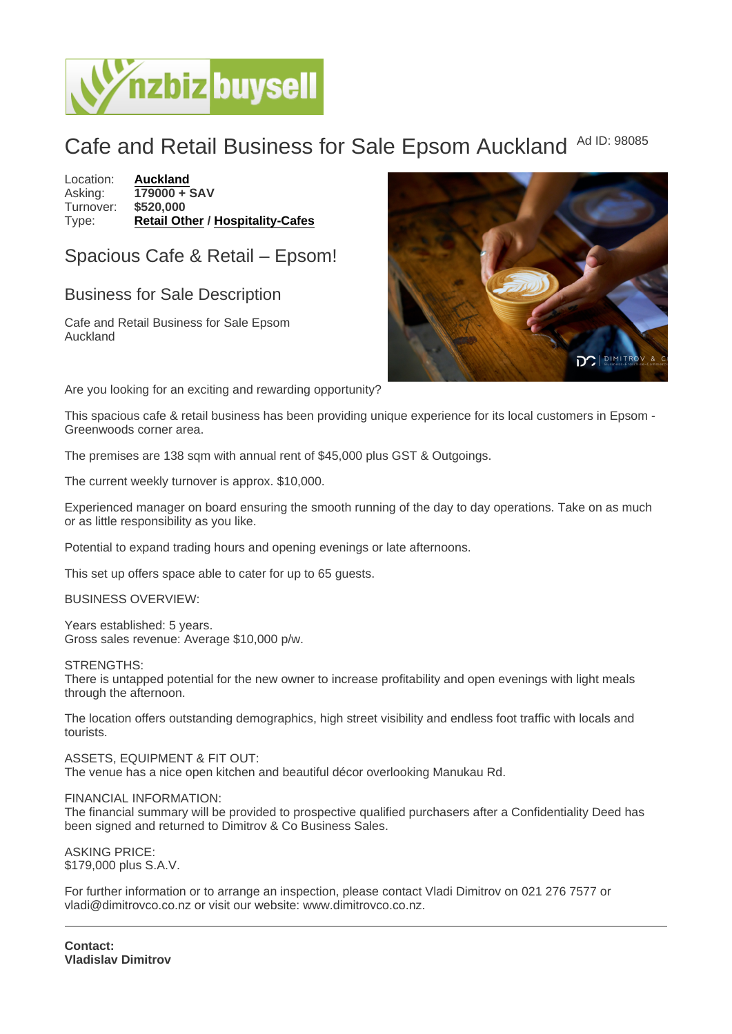## Cafe and Retail Business for Sale Epsom Auckland Ad ID: 98085

Location: [Auckland](https://www.nzbizbuysell.co.nz/businesses-for-sale/location/Auckland) Asking: 179000 + SAV<br>Turnover: \$520.000 Turnover: Type: [Retail Other](https://www.nzbizbuysell.co.nz/businesses-for-sale/Retail-Other/New-Zealand) / [Hospitality-Cafes](https://www.nzbizbuysell.co.nz/businesses-for-sale/Cafes/New-Zealand)

Spacious Cafe & Retail – Epsom!

## Business for Sale Description

Cafe and Retail Business for Sale Epsom Auckland

Are you looking for an exciting and rewarding opportunity?

This spacious cafe & retail business has been providing unique experience for its local customers in Epsom - Greenwoods corner area.

The premises are 138 sqm with annual rent of \$45,000 plus GST & Outgoings.

The current weekly turnover is approx. \$10,000.

Experienced manager on board ensuring the smooth running of the day to day operations. Take on as much or as little responsibility as you like.

Potential to expand trading hours and opening evenings or late afternoons.

This set up offers space able to cater for up to 65 guests.

BUSINESS OVERVIEW:

Years established: 5 years. Gross sales revenue: Average \$10,000 p/w.

STRENGTHS:

There is untapped potential for the new owner to increase profitability and open evenings with light meals through the afternoon.

The location offers outstanding demographics, high street visibility and endless foot traffic with locals and tourists.

ASSETS, EQUIPMENT & FIT OUT: The venue has a nice open kitchen and beautiful décor overlooking Manukau Rd.

FINANCIAL INFORMATION:

The financial summary will be provided to prospective qualified purchasers after a Confidentiality Deed has been signed and returned to Dimitrov & Co Business Sales.

ASKING PRICE: \$179,000 plus S.A.V.

For further information or to arrange an inspection, please contact Vladi Dimitrov on 021 276 7577 or vladi@dimitrovco.co.nz or visit our website: www.dimitrovco.co.nz.

Contact: Vladislav Dimitrov